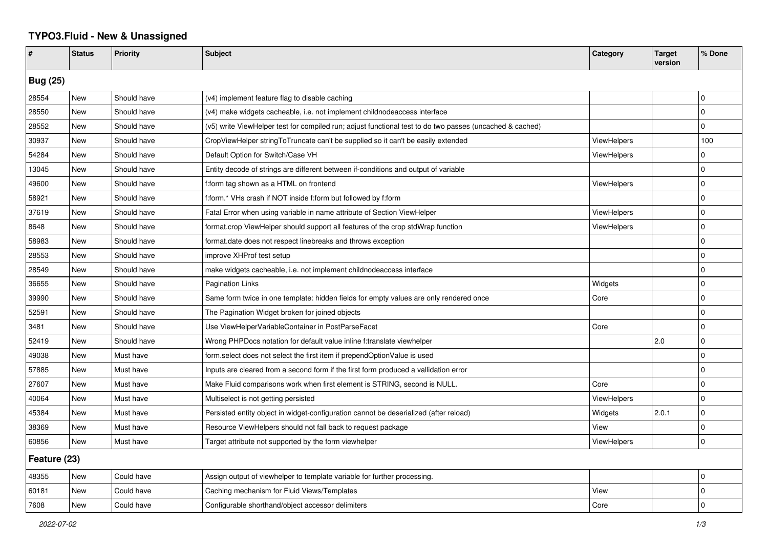## **TYPO3.Fluid - New & Unassigned**

| #               | <b>Status</b> | <b>Priority</b> | <b>Subject</b>                                                                                           | Category           | <b>Target</b><br>version | % Done              |  |  |
|-----------------|---------------|-----------------|----------------------------------------------------------------------------------------------------------|--------------------|--------------------------|---------------------|--|--|
| <b>Bug (25)</b> |               |                 |                                                                                                          |                    |                          |                     |  |  |
| 28554           | <b>New</b>    | Should have     | (v4) implement feature flag to disable caching                                                           |                    |                          | l 0                 |  |  |
| 28550           | New           | Should have     | (v4) make widgets cacheable, i.e. not implement childnodeaccess interface                                |                    |                          | $\Omega$            |  |  |
| 28552           | New           | Should have     | (v5) write ViewHelper test for compiled run; adjust functional test to do two passes (uncached & cached) |                    |                          | $\mathbf 0$         |  |  |
| 30937           | New           | Should have     | CropViewHelper stringToTruncate can't be supplied so it can't be easily extended                         | ViewHelpers        |                          | 100                 |  |  |
| 54284           | New           | Should have     | Default Option for Switch/Case VH                                                                        | <b>ViewHelpers</b> |                          | $\mathbf 0$         |  |  |
| 13045           | New           | Should have     | Entity decode of strings are different between if-conditions and output of variable                      |                    |                          | $\mathbf 0$         |  |  |
| 49600           | New           | Should have     | f:form tag shown as a HTML on frontend                                                                   | <b>ViewHelpers</b> |                          | $\mathbf 0$         |  |  |
| 58921           | <b>New</b>    | Should have     | f:form.* VHs crash if NOT inside f:form but followed by f:form                                           |                    |                          | $\Omega$            |  |  |
| 37619           | New           | Should have     | Fatal Error when using variable in name attribute of Section ViewHelper                                  | <b>ViewHelpers</b> |                          | $\Omega$            |  |  |
| 8648            | New           | Should have     | format.crop ViewHelper should support all features of the crop stdWrap function                          | ViewHelpers        |                          | $\mathbf 0$         |  |  |
| 58983           | New           | Should have     | format.date does not respect linebreaks and throws exception                                             |                    |                          | $\mathbf 0$         |  |  |
| 28553           | New           | Should have     | improve XHProf test setup                                                                                |                    |                          | $\mathbf 0$         |  |  |
| 28549           | New           | Should have     | make widgets cacheable, i.e. not implement childnodeaccess interface                                     |                    |                          | $\mathbf 0$         |  |  |
| 36655           | New           | Should have     | <b>Pagination Links</b>                                                                                  | Widgets            |                          | $\Omega$            |  |  |
| 39990           | New           | Should have     | Same form twice in one template: hidden fields for empty values are only rendered once                   | Core               |                          | $\mathbf 0$         |  |  |
| 52591           | New           | Should have     | The Pagination Widget broken for joined objects                                                          |                    |                          | $\mathbf 0$         |  |  |
| 3481            | New           | Should have     | Use ViewHelperVariableContainer in PostParseFacet                                                        | Core               |                          | $\pmb{0}$           |  |  |
| 52419           | New           | Should have     | Wrong PHPDocs notation for default value inline f:translate viewhelper                                   |                    | 2.0                      | $\pmb{0}$           |  |  |
| 49038           | New           | Must have       | form select does not select the first item if prependOptionValue is used                                 |                    |                          | $\mathbf 0$         |  |  |
| 57885           | New           | Must have       | Inputs are cleared from a second form if the first form produced a vallidation error                     |                    |                          | $\mathbf 0$         |  |  |
| 27607           | New           | Must have       | Make Fluid comparisons work when first element is STRING, second is NULL.                                | Core               |                          | $\mathbf 0$         |  |  |
| 40064           | New           | Must have       | Multiselect is not getting persisted                                                                     | ViewHelpers        |                          | $\mathbf 0$         |  |  |
| 45384           | <b>New</b>    | Must have       | Persisted entity object in widget-configuration cannot be deserialized (after reload)                    | Widgets            | 2.0.1                    | $\mathbf 0$         |  |  |
| 38369           | New           | Must have       | Resource ViewHelpers should not fall back to request package                                             | View               |                          | $\Omega$            |  |  |
| 60856           | <b>New</b>    | Must have       | Target attribute not supported by the form viewhelper                                                    | ViewHelpers        |                          | $\mathsf{O}\xspace$ |  |  |
| Feature (23)    |               |                 |                                                                                                          |                    |                          |                     |  |  |
| 48355           | New           | Could have      | Assign output of viewhelper to template variable for further processing.                                 |                    |                          | $\mathbf 0$         |  |  |
| 60181           | New           | Could have      | Caching mechanism for Fluid Views/Templates                                                              | View               |                          | $\Omega$            |  |  |
| 7608            | New           | Could have      | Configurable shorthand/object accessor delimiters                                                        | Core               |                          | $\Omega$            |  |  |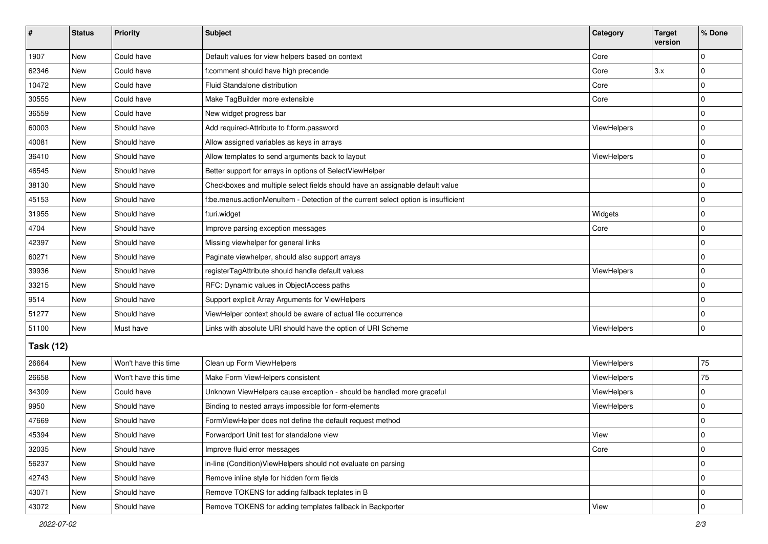| $\vert$ #        | <b>Status</b> | Priority             | Subject                                                                            | Category           | <b>Target</b><br>version | % Done      |  |  |
|------------------|---------------|----------------------|------------------------------------------------------------------------------------|--------------------|--------------------------|-------------|--|--|
| 1907             | New           | Could have           | Default values for view helpers based on context                                   | Core               |                          | 0           |  |  |
| 62346            | New           | Could have           | f:comment should have high precende                                                | Core               | 3.x                      | 0           |  |  |
| 10472            | New           | Could have           | Fluid Standalone distribution                                                      | Core               |                          | $\Omega$    |  |  |
| 30555            | <b>New</b>    | Could have           | Make TagBuilder more extensible                                                    | Core               |                          | $\mathbf 0$ |  |  |
| 36559            | <b>New</b>    | Could have           | New widget progress bar                                                            |                    |                          | 0           |  |  |
| 60003            | New           | Should have          | Add required-Attribute to f:form.password                                          | <b>ViewHelpers</b> |                          | $\mathbf 0$ |  |  |
| 40081            | <b>New</b>    | Should have          | Allow assigned variables as keys in arrays                                         |                    |                          | 0           |  |  |
| 36410            | New           | Should have          | Allow templates to send arguments back to layout                                   | ViewHelpers        |                          | $\mathbf 0$ |  |  |
| 46545            | New           | Should have          | Better support for arrays in options of SelectViewHelper                           |                    |                          | $\mathbf 0$ |  |  |
| 38130            | New           | Should have          | Checkboxes and multiple select fields should have an assignable default value      |                    |                          | 0           |  |  |
| 45153            | New           | Should have          | f:be.menus.actionMenuItem - Detection of the current select option is insufficient |                    |                          | $\mathbf 0$ |  |  |
| 31955            | <b>New</b>    | Should have          | f:uri.widget                                                                       | Widgets            |                          | $\mathbf 0$ |  |  |
| 4704             | New           | Should have          | Improve parsing exception messages                                                 | Core               |                          | $\mathbf 0$ |  |  |
| 42397            | <b>New</b>    | Should have          | Missing viewhelper for general links                                               |                    |                          | $\mathbf 0$ |  |  |
| 60271            | New           | Should have          | Paginate viewhelper, should also support arrays                                    |                    |                          | 0           |  |  |
| 39936            | New           | Should have          | registerTagAttribute should handle default values                                  | ViewHelpers        |                          | $\mathbf 0$ |  |  |
| 33215            | <b>New</b>    | Should have          | RFC: Dynamic values in ObjectAccess paths                                          |                    |                          | $\mathbf 0$ |  |  |
| 9514             | <b>New</b>    | Should have          | Support explicit Array Arguments for ViewHelpers                                   |                    |                          | $\mathbf 0$ |  |  |
| 51277            | New           | Should have          | ViewHelper context should be aware of actual file occurrence                       |                    |                          | $\mathbf 0$ |  |  |
| 51100            | <b>New</b>    | Must have            | Links with absolute URI should have the option of URI Scheme                       | ViewHelpers        |                          | $\mathbf 0$ |  |  |
| <b>Task (12)</b> |               |                      |                                                                                    |                    |                          |             |  |  |
| 26664            | New           | Won't have this time | Clean up Form ViewHelpers                                                          | ViewHelpers        |                          | 75          |  |  |
| 26658            | <b>New</b>    | Won't have this time | Make Form ViewHelpers consistent                                                   | ViewHelpers        |                          | 75          |  |  |
| 34309            | New           | Could have           | Unknown ViewHelpers cause exception - should be handled more graceful              | ViewHelpers        |                          | $\Omega$    |  |  |
| 9950             | <b>New</b>    | Should have          | Binding to nested arrays impossible for form-elements                              | ViewHelpers        |                          | $\mathbf 0$ |  |  |
| 47669            | New           | Should have          | FormViewHelper does not define the default request method                          |                    |                          | 0           |  |  |
| 45394            | New           | Should have          | Forwardport Unit test for standalone view                                          | View               |                          | 0           |  |  |
| 32035            | New           | Should have          | Improve fluid error messages                                                       | Core               |                          | $\mathbf 0$ |  |  |
| 56237            | New           | Should have          | in-line (Condition) View Helpers should not evaluate on parsing                    |                    |                          | $\mathbf 0$ |  |  |
| 42743            | New           | Should have          | Remove inline style for hidden form fields                                         |                    |                          | $\mathbf 0$ |  |  |
| 43071            | New           | Should have          | Remove TOKENS for adding fallback teplates in B                                    |                    |                          | 0           |  |  |
| 43072            | New           | Should have          | Remove TOKENS for adding templates fallback in Backporter                          | View               |                          | $\mathbf 0$ |  |  |